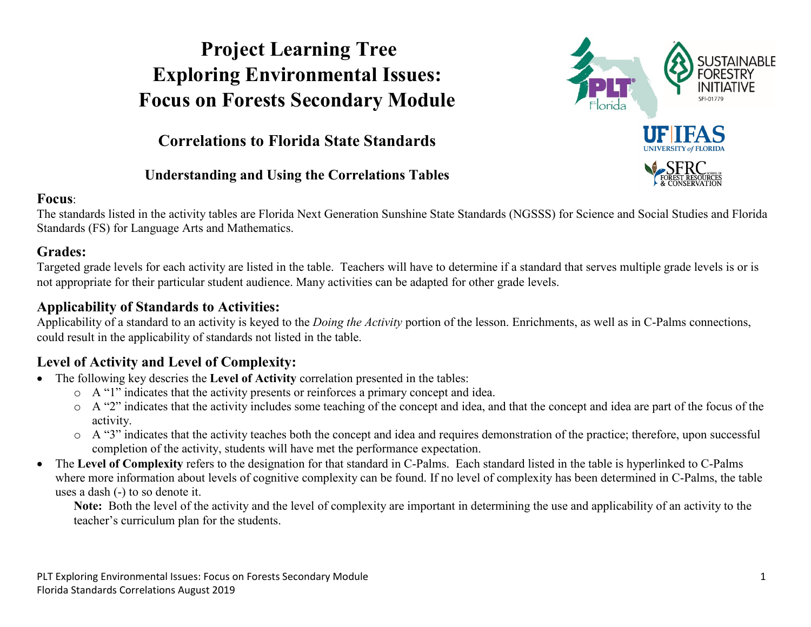# **Project Learning Tree Exploring Environmental Issues: Focus on Forests Secondary Module**

**SUSTAINABLE** 

## **Correlations to Florida State Standards**

### **Understanding and Using the Correlations Tables**

#### **Focus**:

The standards listed in the activity tables are Florida Next Generation Sunshine State Standards (NGSSS) for Science and Social Studies and Florida Standards (FS) for Language Arts and Mathematics.

#### **Grades:**

Targeted grade levels for each activity are listed in the table. Teachers will have to determine if a standard that serves multiple grade levels is or is not appropriate for their particular student audience. Many activities can be adapted for other grade levels.

#### **Applicability of Standards to Activities:**

Applicability of a standard to an activity is keyed to the *Doing the Activity* portion of the lesson. Enrichments, as well as in C-Palms connections, could result in the applicability of standards not listed in the table.

## **Level of Activity and Level of Complexity:**

- The following key descries the **Level of Activity** correlation presented in the tables:
	- o A "1" indicates that the activity presents or reinforces a primary concept and idea.
	- o A "2" indicates that the activity includes some teaching of the concept and idea, and that the concept and idea are part of the focus of the activity.
	- o A "3" indicates that the activity teaches both the concept and idea and requires demonstration of the practice; therefore, upon successful completion of the activity, students will have met the performance expectation.
- The **Level of Complexity** refers to the designation for that standard in C-Palms. Each standard listed in the table is hyperlinked to C-Palms where more information about levels of cognitive complexity can be found. If no level of complexity has been determined in C-Palms, the table uses a dash (-) to so denote it.

**Note:** Both the level of the activity and the level of complexity are important in determining the use and applicability of an activity to the teacher's curriculum plan for the students.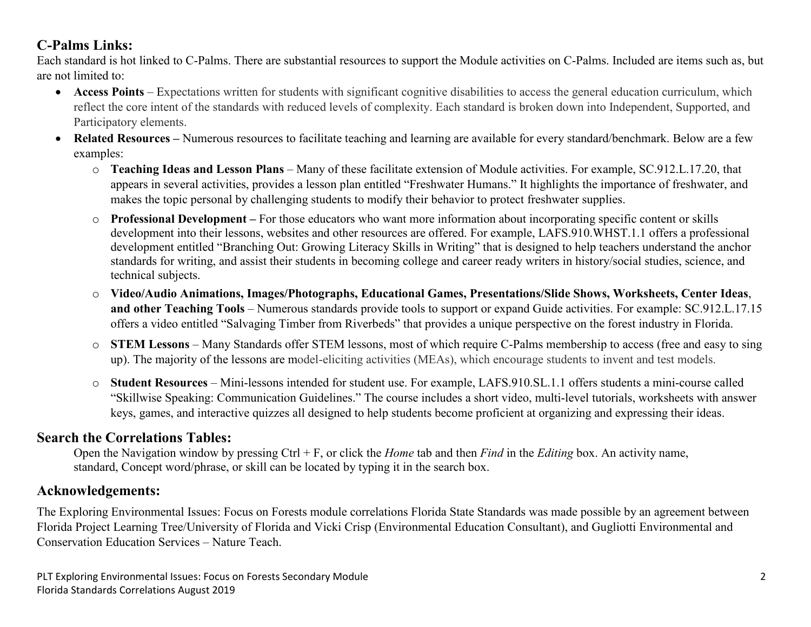### **C-Palms Links:**

Each standard is hot linked to C-Palms. There are substantial resources to support the Module activities on C-Palms. Included are items such as, but are not limited to:

- **Access Points** Expectations written for students with significant cognitive disabilities to access the general education curriculum, which reflect the core intent of the standards with reduced levels of complexity. Each standard is broken down into Independent, Supported, and Participatory elements.
- **Related Resources –** Numerous resources to facilitate teaching and learning are available for every standard/benchmark. Below are a few examples:
	- o **Teaching Ideas and Lesson Plans** Many of these facilitate extension of Module activities. For example, SC.912.L.17.20, that appears in several activities, provides a lesson plan entitled "Freshwater Humans." It highlights the importance of freshwater, and makes the topic personal by challenging students to modify their behavior to protect freshwater supplies.
	- o **Professional Development –** For those educators who want more information about incorporating specific content or skills development into their lessons, websites and other resources are offered. For example, LAFS.910.WHST.1.1 offers a professional development entitled "Branching Out: Growing Literacy Skills in Writing" that is designed to help teachers understand the anchor standards for writing, and assist their students in becoming college and career ready writers in history/social studies, science, and technical subjects.
	- o **Video/Audio Animations, Images/Photographs, Educational Games, Presentations/Slide Shows, Worksheets, Center Ideas**, **and other Teaching Tools** – Numerous standards provide tools to support or expand Guide activities. For example: SC.912.L.17.15 offers a video entitled "Salvaging Timber from Riverbeds" that provides a unique perspective on the forest industry in Florida.
	- o **STEM Lessons** Many Standards offer STEM lessons, most of which require C-Palms membership to access (free and easy to sing up). The majority of the lessons are model-eliciting activities (MEAs), which encourage students to invent and test models.
	- o **Student Resources**  Mini-lessons intended for student use. For example, LAFS.910.SL.1.1 offers students a mini-course called "Skillwise Speaking: Communication Guidelines." The course includes a short video, multi-level tutorials, worksheets with answer keys, games, and interactive quizzes all designed to help students become proficient at organizing and expressing their ideas.

### **Search the Correlations Tables:**

Open the Navigation window by pressing Ctrl + F, or click the *Home* tab and then *Find* in the *Editing* box. An activity name, standard, Concept word/phrase, or skill can be located by typing it in the search box.

## **Acknowledgements:**

The Exploring Environmental Issues: Focus on Forests module correlations Florida State Standards was made possible by an agreement between Florida Project Learning Tree/University of Florida and Vicki Crisp (Environmental Education Consultant), and Gugliotti Environmental and Conservation Education Services – Nature Teach.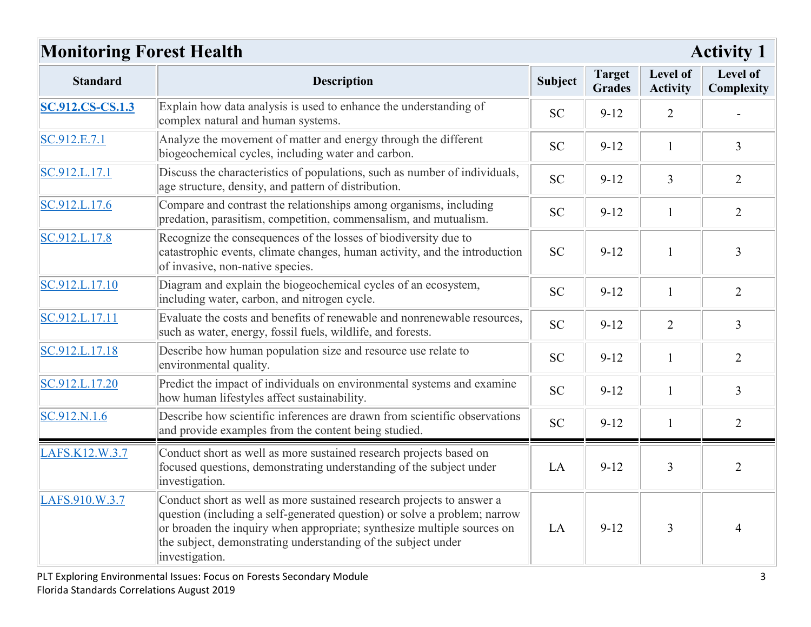| <b>Monitoring Forest Health</b> |                                                                                                                                                                                                                                                                                                                  |                |                                |                             | <b>Activity 1</b>      |
|---------------------------------|------------------------------------------------------------------------------------------------------------------------------------------------------------------------------------------------------------------------------------------------------------------------------------------------------------------|----------------|--------------------------------|-----------------------------|------------------------|
| <b>Standard</b>                 | <b>Description</b>                                                                                                                                                                                                                                                                                               | <b>Subject</b> | <b>Target</b><br><b>Grades</b> | Level of<br><b>Activity</b> | Level of<br>Complexity |
| <b>SC.912.CS-CS.1.3</b>         | Explain how data analysis is used to enhance the understanding of<br>complex natural and human systems.                                                                                                                                                                                                          | <b>SC</b>      | $9 - 12$                       | $\overline{2}$              |                        |
| SC.912.E.7.1                    | Analyze the movement of matter and energy through the different<br>biogeochemical cycles, including water and carbon.                                                                                                                                                                                            | <b>SC</b>      | $9 - 12$                       | $\mathbf{1}$                | $\overline{3}$         |
| SC.912.L.17.1                   | Discuss the characteristics of populations, such as number of individuals,<br>age structure, density, and pattern of distribution.                                                                                                                                                                               | <b>SC</b>      | $9 - 12$                       | 3                           | $\overline{2}$         |
| SC.912.L.17.6                   | Compare and contrast the relationships among organisms, including<br>predation, parasitism, competition, commensalism, and mutualism.                                                                                                                                                                            | <b>SC</b>      | $9 - 12$                       | $\mathbf{1}$                | $\overline{2}$         |
| SC.912.L.17.8                   | Recognize the consequences of the losses of biodiversity due to<br>catastrophic events, climate changes, human activity, and the introduction<br>of invasive, non-native species.                                                                                                                                | <b>SC</b>      | $9 - 12$                       | 1                           | 3                      |
| SC.912.L.17.10                  | Diagram and explain the biogeochemical cycles of an ecosystem,<br>including water, carbon, and nitrogen cycle.                                                                                                                                                                                                   | <b>SC</b>      | $9-12$                         | $\mathbf{1}$                | $\overline{2}$         |
| SC.912.L.17.11                  | Evaluate the costs and benefits of renewable and nonrenewable resources,<br>such as water, energy, fossil fuels, wildlife, and forests.                                                                                                                                                                          | <b>SC</b>      | $9 - 12$                       | $\overline{2}$              | $\overline{3}$         |
| SC.912.L.17.18                  | Describe how human population size and resource use relate to<br>environmental quality.                                                                                                                                                                                                                          | <b>SC</b>      | $9 - 12$                       | $\mathbf{1}$                | $\overline{2}$         |
| SC.912.L.17.20                  | Predict the impact of individuals on environmental systems and examine<br>how human lifestyles affect sustainability.                                                                                                                                                                                            | <b>SC</b>      | $9 - 12$                       | $\mathbf{1}$                | $\overline{3}$         |
| SC.912.N.1.6                    | Describe how scientific inferences are drawn from scientific observations<br>and provide examples from the content being studied.                                                                                                                                                                                | <b>SC</b>      | $9-12$                         | $\mathbf{1}$                | $\overline{2}$         |
| LAFS.K12.W.3.7                  | Conduct short as well as more sustained research projects based on<br>focused questions, demonstrating understanding of the subject under<br>investigation.                                                                                                                                                      | LA             | $9 - 12$                       | 3                           | $\overline{2}$         |
| LAFS.910.W.3.7                  | Conduct short as well as more sustained research projects to answer a<br>question (including a self-generated question) or solve a problem; narrow<br>or broaden the inquiry when appropriate; synthesize multiple sources on<br>the subject, demonstrating understanding of the subject under<br>investigation. | LA             | $9 - 12$                       | 3                           | 4                      |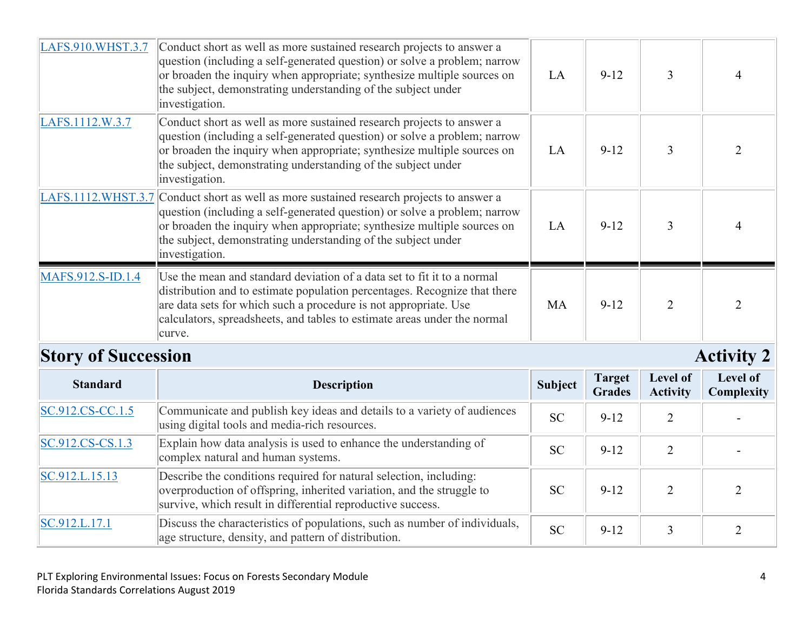| LAFS.910.WHST.3.7 | Conduct short as well as more sustained research projects to answer a<br>question (including a self-generated question) or solve a problem; narrow<br>or broaden the inquiry when appropriate; synthesize multiple sources on<br>the subject, demonstrating understanding of the subject under<br>investigation. | LA | $9 - 12$ | 3 |  |
|-------------------|------------------------------------------------------------------------------------------------------------------------------------------------------------------------------------------------------------------------------------------------------------------------------------------------------------------|----|----------|---|--|
| LAFS.1112.W.3.7   | Conduct short as well as more sustained research projects to answer a<br>question (including a self-generated question) or solve a problem; narrow<br>or broaden the inquiry when appropriate; synthesize multiple sources on<br>the subject, demonstrating understanding of the subject under<br>investigation. | LA | $9 - 12$ |   |  |
|                   | Conduct short as well as more sustained research projects to answer a<br>question (including a self-generated question) or solve a problem; narrow<br>or broaden the inquiry when appropriate; synthesize multiple sources on<br>the subject, demonstrating understanding of the subject under<br>investigation. | LA | $9 - 12$ |   |  |
| MAFS.912.S-ID.1.4 | Use the mean and standard deviation of a data set to fit it to a normal<br>distribution and to estimate population percentages. Recognize that there<br>are data sets for which such a procedure is not appropriate. Use<br>calculators, spreadsheets, and tables to estimate areas under the normal<br>curve.   | MA | $9 - 12$ |   |  |
| $\sim$<br>e Ω     |                                                                                                                                                                                                                                                                                                                  |    |          |   |  |

## **Story of Succession Activity 2**

| <b>Standard</b>    | <b>Description</b>                                                                                                                                                                                         | <b>Subject</b> | <b>Target</b><br><b>Grades</b> | Level of<br><b>Activity</b> | Level of<br>Complexity |
|--------------------|------------------------------------------------------------------------------------------------------------------------------------------------------------------------------------------------------------|----------------|--------------------------------|-----------------------------|------------------------|
| $SC.912.CS-CC.1.5$ | Communicate and publish key ideas and details to a variety of audiences<br>using digital tools and media-rich resources.                                                                                   | <b>SC</b>      | $9-12$                         | $\mathfrak{D}$              |                        |
| $SC.912.CS-CS.1.3$ | Explain how data analysis is used to enhance the understanding of<br>complex natural and human systems.                                                                                                    | <b>SC</b>      | $9 - 12$                       |                             |                        |
| SC.912.L.15.13     | Describe the conditions required for natural selection, including:<br>overproduction of offspring, inherited variation, and the struggle to<br>survive, which result in differential reproductive success. | <b>SC</b>      | $9-12$                         | $\mathcal{D}$               |                        |
| SC.912.L.17.1      | Discuss the characteristics of populations, such as number of individuals,<br>age structure, density, and pattern of distribution.                                                                         | <b>SC</b>      | $9 - 12$                       |                             |                        |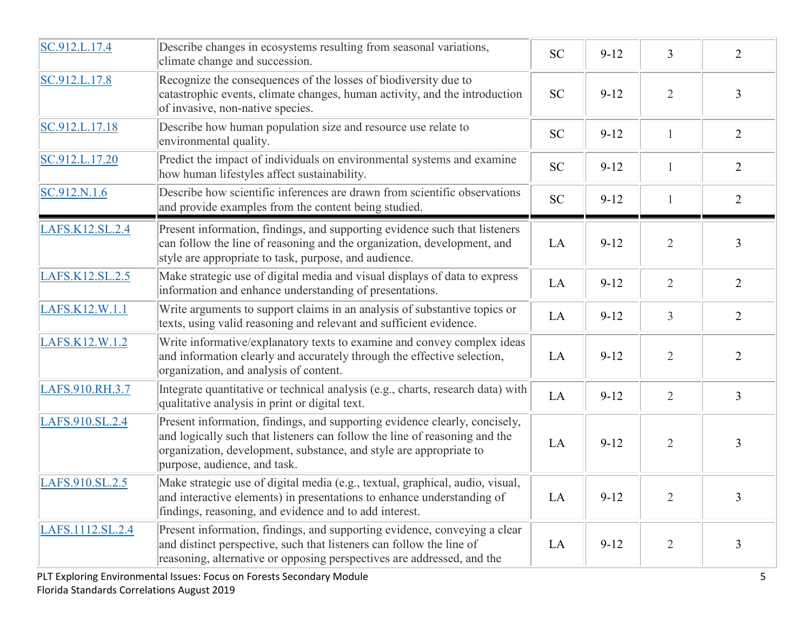| SC.912.L.17.4    | Describe changes in ecosystems resulting from seasonal variations,<br>climate change and succession.                                                                                                                                                           | <b>SC</b> | $9-12$   | $\overline{3}$ | $\overline{2}$ |
|------------------|----------------------------------------------------------------------------------------------------------------------------------------------------------------------------------------------------------------------------------------------------------------|-----------|----------|----------------|----------------|
| SC.912.L.17.8    | Recognize the consequences of the losses of biodiversity due to<br>catastrophic events, climate changes, human activity, and the introduction<br>of invasive, non-native species.                                                                              | <b>SC</b> | $9 - 12$ | $\overline{2}$ | 3              |
| SC.912.L.17.18   | Describe how human population size and resource use relate to<br>environmental quality.                                                                                                                                                                        | <b>SC</b> | $9 - 12$ | $\mathbf{1}$   | $\overline{2}$ |
| SC.912.L.17.20   | Predict the impact of individuals on environmental systems and examine<br>how human lifestyles affect sustainability.                                                                                                                                          | <b>SC</b> | $9 - 12$ | $\mathbf{1}$   | $\overline{2}$ |
| SC.912.N.1.6     | Describe how scientific inferences are drawn from scientific observations<br>and provide examples from the content being studied.                                                                                                                              | <b>SC</b> | $9 - 12$ | $\mathbf{1}$   | $\overline{2}$ |
| LAFS.K12.SL.2.4  | Present information, findings, and supporting evidence such that listeners<br>can follow the line of reasoning and the organization, development, and<br>style are appropriate to task, purpose, and audience.                                                 | LA        | $9-12$   | $\overline{2}$ | $\overline{3}$ |
| LAFS.K12.SL.2.5  | Make strategic use of digital media and visual displays of data to express<br>information and enhance understanding of presentations.                                                                                                                          | LA        | $9 - 12$ | $\overline{2}$ | $\overline{2}$ |
| LAFS.K12.W.1.1   | Write arguments to support claims in an analysis of substantive topics or<br>texts, using valid reasoning and relevant and sufficient evidence.                                                                                                                | LA        | $9-12$   | $\overline{3}$ | $\overline{2}$ |
| LAFS.K12.W.1.2   | Write informative/explanatory texts to examine and convey complex ideas<br>and information clearly and accurately through the effective selection,<br>organization, and analysis of content.                                                                   | LA        | $9 - 12$ | $\overline{2}$ | $\overline{2}$ |
| LAFS.910.RH.3.7  | Integrate quantitative or technical analysis (e.g., charts, research data) with<br>qualitative analysis in print or digital text.                                                                                                                              | LA        | $9 - 12$ | $\overline{2}$ | $\overline{3}$ |
| LAFS.910.SL.2.4  | Present information, findings, and supporting evidence clearly, concisely,<br>and logically such that listeners can follow the line of reasoning and the<br>organization, development, substance, and style are appropriate to<br>purpose, audience, and task. | LA        | $9 - 12$ | $\overline{2}$ | 3              |
| LAFS.910.SL.2.5  | Make strategic use of digital media (e.g., textual, graphical, audio, visual,<br>and interactive elements) in presentations to enhance understanding of<br>findings, reasoning, and evidence and to add interest.                                              | LA        | $9 - 12$ | $\overline{2}$ | $\overline{3}$ |
| LAFS.1112.SL.2.4 | Present information, findings, and supporting evidence, conveying a clear<br>and distinct perspective, such that listeners can follow the line of<br>reasoning, alternative or opposing perspectives are addressed, and the                                    | LA        | $9 - 12$ | $\overline{2}$ | $\overline{3}$ |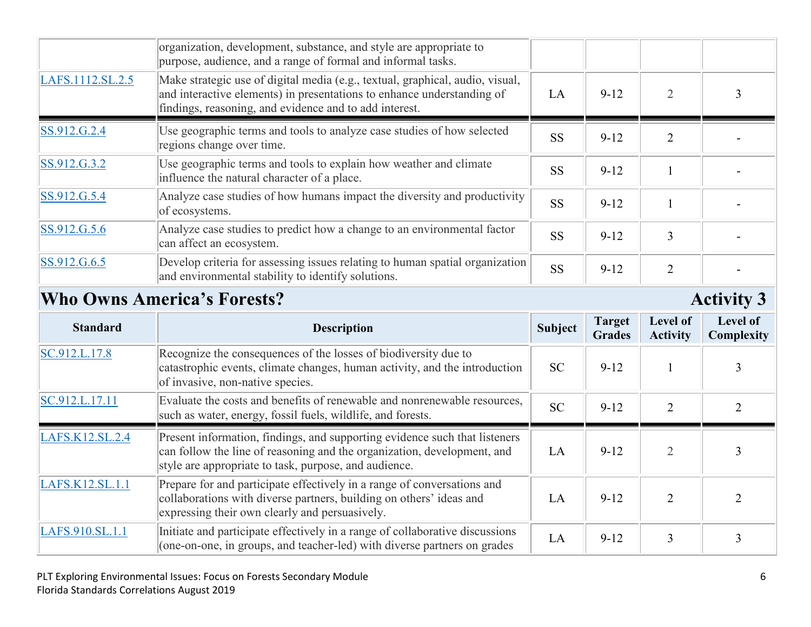|                  | organization, development, substance, and style are appropriate to<br>purpose, audience, and a range of formal and informal tasks.                                                                                |           |          |                             |  |
|------------------|-------------------------------------------------------------------------------------------------------------------------------------------------------------------------------------------------------------------|-----------|----------|-----------------------------|--|
| LAFS.1112.SL.2.5 | Make strategic use of digital media (e.g., textual, graphical, audio, visual,<br>and interactive elements) in presentations to enhance understanding of<br>findings, reasoning, and evidence and to add interest. | LA        | $9 - 12$ |                             |  |
| SS.912.G.2.4     | Use geographic terms and tools to analyze case studies of how selected<br>regions change over time.                                                                                                               | <b>SS</b> | $9 - 12$ | $\mathcal{D}_{\mathcal{L}}$ |  |
| SS.912.G.3.2     | Use geographic terms and tools to explain how weather and climate<br>influence the natural character of a place.                                                                                                  | <b>SS</b> | $9 - 12$ |                             |  |
| SS.912.G.5.4     | Analyze case studies of how humans impact the diversity and productivity<br>of ecosystems.                                                                                                                        | <b>SS</b> | $9 - 12$ |                             |  |
| SS.912.G.5.6     | Analyze case studies to predict how a change to an environmental factor<br>can affect an ecosystem.                                                                                                               | <b>SS</b> | $9 - 12$ | 3                           |  |
| SS.912.G.6.5     | Develop criteria for assessing issues relating to human spatial organization<br>and environmental stability to identify solutions.                                                                                | <b>SS</b> | $9 - 12$ | $\mathcal{D}_{\mathcal{L}}$ |  |

# **Who Owns America's Forests?** Activity 3

| <b>Standard</b> | <b>Description</b>                                                                                                                                                                                             | Subject   | <b>Target</b><br><b>Grades</b> | Level of<br><b>Activity</b> | <b>Level of</b><br>Complexity |
|-----------------|----------------------------------------------------------------------------------------------------------------------------------------------------------------------------------------------------------------|-----------|--------------------------------|-----------------------------|-------------------------------|
| SC.912.L.17.8   | Recognize the consequences of the losses of biodiversity due to<br>catastrophic events, climate changes, human activity, and the introduction<br>of invasive, non-native species.                              | <b>SC</b> | $9 - 12$                       |                             |                               |
| SC.912.L.17.11  | Evaluate the costs and benefits of renewable and nonrenewable resources,<br>such as water, energy, fossil fuels, wildlife, and forests.                                                                        | <b>SC</b> | $9 - 12$                       | $\mathfrak{D}$              |                               |
| LAFS.K12.SL.2.4 | Present information, findings, and supporting evidence such that listeners<br>can follow the line of reasoning and the organization, development, and<br>style are appropriate to task, purpose, and audience. | LA        | $9 - 12$                       | $\mathfrak{D}$              |                               |
| LAFS.K12.SL.1.1 | Prepare for and participate effectively in a range of conversations and<br>collaborations with diverse partners, building on others' ideas and<br>expressing their own clearly and persuasively.               | LA        | $9-12$                         | $\mathfrak{D}$              |                               |
| LAFS.910.SL.1.1 | Initiate and participate effectively in a range of collaborative discussions<br>(one-on-one, in groups, and teacher-led) with diverse partners on grades                                                       | LA        | $9 - 12$                       | 3                           |                               |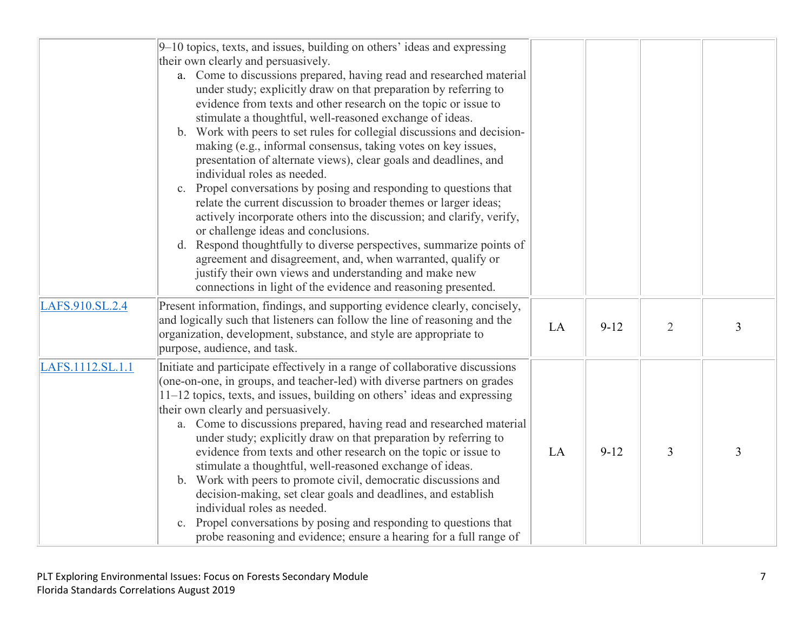|                  | 9–10 topics, texts, and issues, building on others' ideas and expressing<br>their own clearly and persuasively.<br>a. Come to discussions prepared, having read and researched material<br>under study; explicitly draw on that preparation by referring to<br>evidence from texts and other research on the topic or issue to<br>stimulate a thoughtful, well-reasoned exchange of ideas.<br>b. Work with peers to set rules for collegial discussions and decision-<br>making (e.g., informal consensus, taking votes on key issues,<br>presentation of alternate views), clear goals and deadlines, and<br>individual roles as needed.<br>c. Propel conversations by posing and responding to questions that<br>relate the current discussion to broader themes or larger ideas;<br>actively incorporate others into the discussion; and clarify, verify,<br>or challenge ideas and conclusions.<br>d. Respond thoughtfully to diverse perspectives, summarize points of<br>agreement and disagreement, and, when warranted, qualify or<br>justify their own views and understanding and make new<br>connections in light of the evidence and reasoning presented. |    |          |                |   |  |
|------------------|-----------------------------------------------------------------------------------------------------------------------------------------------------------------------------------------------------------------------------------------------------------------------------------------------------------------------------------------------------------------------------------------------------------------------------------------------------------------------------------------------------------------------------------------------------------------------------------------------------------------------------------------------------------------------------------------------------------------------------------------------------------------------------------------------------------------------------------------------------------------------------------------------------------------------------------------------------------------------------------------------------------------------------------------------------------------------------------------------------------------------------------------------------------------------|----|----------|----------------|---|--|
| LAFS.910.SL.2.4  | Present information, findings, and supporting evidence clearly, concisely,<br>and logically such that listeners can follow the line of reasoning and the<br>organization, development, substance, and style are appropriate to<br>purpose, audience, and task.                                                                                                                                                                                                                                                                                                                                                                                                                                                                                                                                                                                                                                                                                                                                                                                                                                                                                                        | LA | $9 - 12$ | $\overline{2}$ | 3 |  |
| LAFS.1112.SL.1.1 | Initiate and participate effectively in a range of collaborative discussions<br>(one-on-one, in groups, and teacher-led) with diverse partners on grades<br>11–12 topics, texts, and issues, building on others' ideas and expressing<br>their own clearly and persuasively.<br>a. Come to discussions prepared, having read and researched material<br>under study; explicitly draw on that preparation by referring to<br>evidence from texts and other research on the topic or issue to<br>stimulate a thoughtful, well-reasoned exchange of ideas.<br>b. Work with peers to promote civil, democratic discussions and<br>decision-making, set clear goals and deadlines, and establish<br>individual roles as needed.<br>c. Propel conversations by posing and responding to questions that<br>probe reasoning and evidence; ensure a hearing for a full range of                                                                                                                                                                                                                                                                                                | LA | $9 - 12$ | 3              | 3 |  |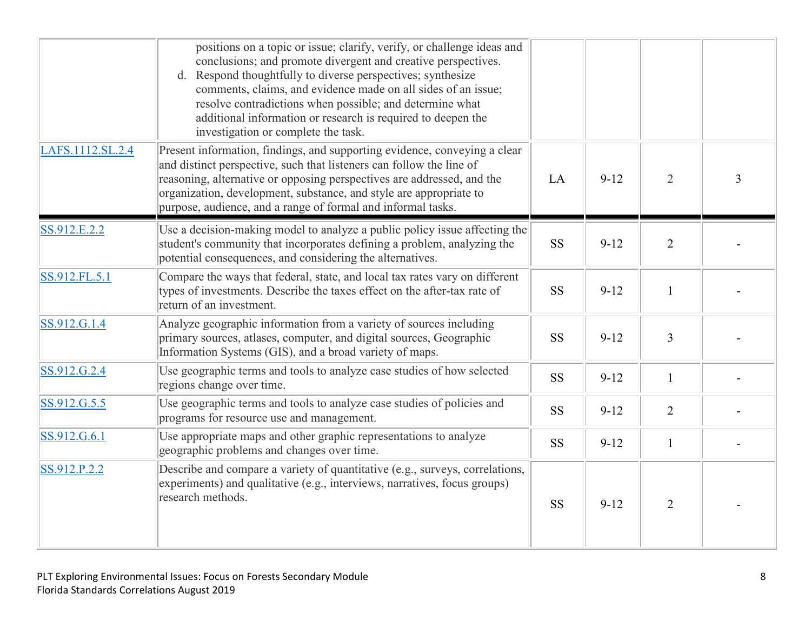|                  | positions on a topic or issue; clarify, verify, or challenge ideas and<br>conclusions; and promote divergent and creative perspectives.<br>d. Respond thoughtfully to diverse perspectives; synthesize<br>comments, claims, and evidence made on all sides of an issue;<br>resolve contradictions when possible; and determine what<br>additional information or research is required to deepen the<br>investigation or complete the task. |           |          |                |   |
|------------------|--------------------------------------------------------------------------------------------------------------------------------------------------------------------------------------------------------------------------------------------------------------------------------------------------------------------------------------------------------------------------------------------------------------------------------------------|-----------|----------|----------------|---|
| LAFS.1112.SL.2.4 | Present information, findings, and supporting evidence, conveying a clear<br>and distinct perspective, such that listeners can follow the line of<br>reasoning, alternative or opposing perspectives are addressed, and the<br>organization, development, substance, and style are appropriate to<br>purpose, audience, and a range of formal and informal tasks.                                                                          | LA        | $9 - 12$ | $\overline{2}$ | 3 |
| SS.912.E.2.2     | Use a decision-making model to analyze a public policy issue affecting the<br>student's community that incorporates defining a problem, analyzing the<br>potential consequences, and considering the alternatives.                                                                                                                                                                                                                         | <b>SS</b> | $9 - 12$ | $\overline{2}$ |   |
| SS.912.FL.5.1    | Compare the ways that federal, state, and local tax rates vary on different<br>types of investments. Describe the taxes effect on the after-tax rate of<br>return of an investment.                                                                                                                                                                                                                                                        | <b>SS</b> | $9 - 12$ | $\mathbf{1}$   |   |
| SS.912.G.1.4     | Analyze geographic information from a variety of sources including<br>primary sources, atlases, computer, and digital sources, Geographic<br>Information Systems (GIS), and a broad variety of maps.                                                                                                                                                                                                                                       | <b>SS</b> | $9 - 12$ | $\overline{3}$ |   |
| SS.912.G.2.4     | Use geographic terms and tools to analyze case studies of how selected<br>regions change over time.                                                                                                                                                                                                                                                                                                                                        | <b>SS</b> | $9 - 12$ | $\mathbf{1}$   |   |
| SS.912.G.5.5     | Use geographic terms and tools to analyze case studies of policies and<br>programs for resource use and management.                                                                                                                                                                                                                                                                                                                        | <b>SS</b> | $9 - 12$ | $\overline{2}$ |   |
| SS.912.G.6.1     | Use appropriate maps and other graphic representations to analyze<br>geographic problems and changes over time.                                                                                                                                                                                                                                                                                                                            | <b>SS</b> | $9 - 12$ | $\mathbf{1}$   |   |
| SS.912.P.2.2     | Describe and compare a variety of quantitative (e.g., surveys, correlations,<br>experiments) and qualitative (e.g., interviews, narratives, focus groups)<br>research methods.                                                                                                                                                                                                                                                             | <b>SS</b> | $9 - 12$ | $\overline{2}$ |   |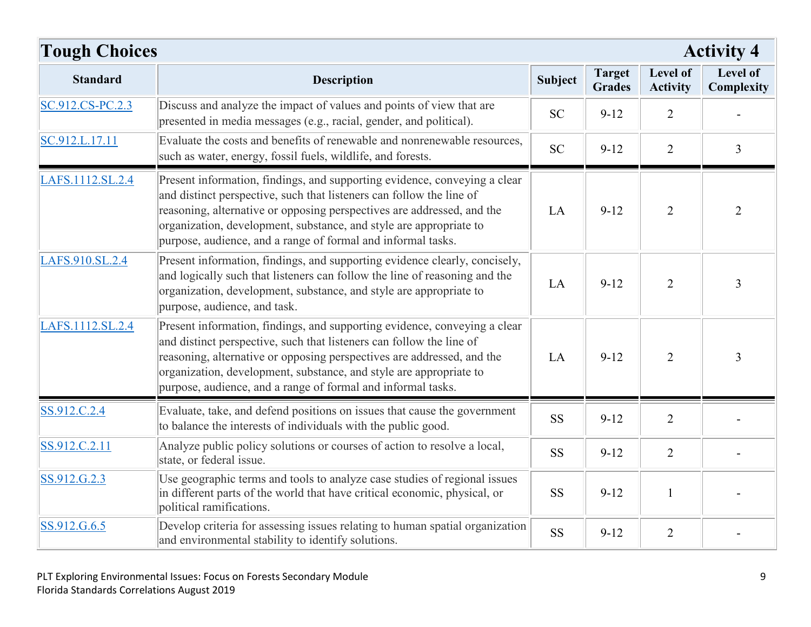| <b>Tough Choices</b><br><b>Activity 4</b> |                                                                                                                                                                                                                                                                                                                                                                   |                |                                |                             |                        |
|-------------------------------------------|-------------------------------------------------------------------------------------------------------------------------------------------------------------------------------------------------------------------------------------------------------------------------------------------------------------------------------------------------------------------|----------------|--------------------------------|-----------------------------|------------------------|
| <b>Standard</b>                           | <b>Description</b>                                                                                                                                                                                                                                                                                                                                                | <b>Subject</b> | <b>Target</b><br><b>Grades</b> | Level of<br><b>Activity</b> | Level of<br>Complexity |
| SC.912.CS-PC.2.3                          | Discuss and analyze the impact of values and points of view that are<br>presented in media messages (e.g., racial, gender, and political).                                                                                                                                                                                                                        | <b>SC</b>      | $9 - 12$                       | 2                           |                        |
| SC.912.L.17.11                            | Evaluate the costs and benefits of renewable and nonrenewable resources,<br>such as water, energy, fossil fuels, wildlife, and forests.                                                                                                                                                                                                                           | <b>SC</b>      | $9 - 12$                       | $\overline{2}$              | $\overline{3}$         |
| LAFS.1112.SL.2.4                          | Present information, findings, and supporting evidence, conveying a clear<br>and distinct perspective, such that listeners can follow the line of<br>reasoning, alternative or opposing perspectives are addressed, and the<br>organization, development, substance, and style are appropriate to<br>purpose, audience, and a range of formal and informal tasks. | LA             | $9-12$                         | $\overline{2}$              | $\overline{2}$         |
| LAFS.910.SL.2.4                           | Present information, findings, and supporting evidence clearly, concisely,<br>and logically such that listeners can follow the line of reasoning and the<br>organization, development, substance, and style are appropriate to<br>purpose, audience, and task.                                                                                                    | LA             | $9 - 12$                       | $\overline{2}$              | $\overline{3}$         |
| LAFS.1112.SL.2.4                          | Present information, findings, and supporting evidence, conveying a clear<br>and distinct perspective, such that listeners can follow the line of<br>reasoning, alternative or opposing perspectives are addressed, and the<br>organization, development, substance, and style are appropriate to<br>purpose, audience, and a range of formal and informal tasks. | LA             | $9 - 12$                       | $\overline{2}$              | 3                      |
| SS.912.C.2.4                              | Evaluate, take, and defend positions on issues that cause the government<br>to balance the interests of individuals with the public good.                                                                                                                                                                                                                         | <b>SS</b>      | $9-12$                         | $\overline{2}$              |                        |
| SS.912.C.2.11                             | Analyze public policy solutions or courses of action to resolve a local,<br>state, or federal issue.                                                                                                                                                                                                                                                              | <b>SS</b>      | $9-12$                         | $\overline{2}$              |                        |
| SS.912.G.2.3                              | Use geographic terms and tools to analyze case studies of regional issues<br>in different parts of the world that have critical economic, physical, or<br>political ramifications.                                                                                                                                                                                | <b>SS</b>      | $9 - 12$                       | $\mathbf{1}$                |                        |
| SS.912.G.6.5                              | Develop criteria for assessing issues relating to human spatial organization<br>and environmental stability to identify solutions.                                                                                                                                                                                                                                | <b>SS</b>      | $9 - 12$                       | $\overline{2}$              |                        |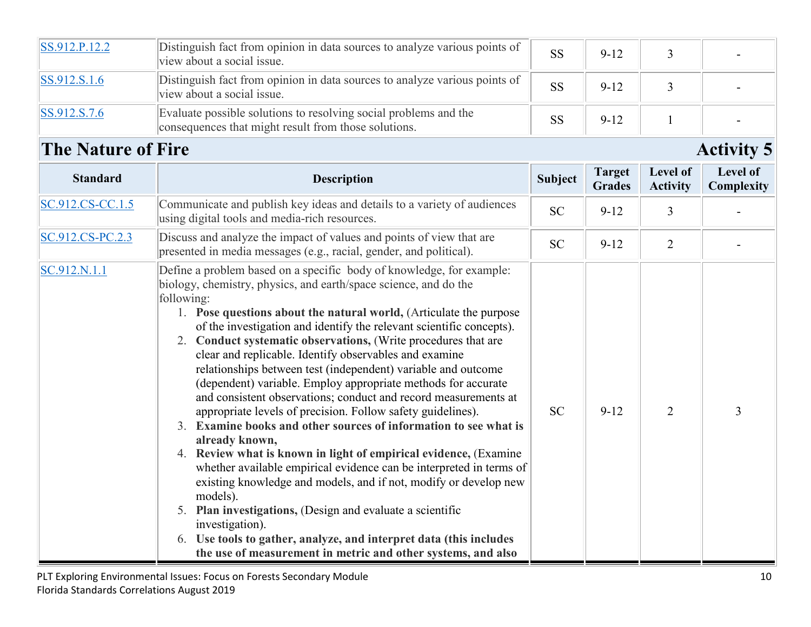| SS.912.P.12.2 | Distinguish fact from opinion in data sources to analyze various points of<br>view about a social issue.                 | <b>SS</b> | $9 - 12$ |  |
|---------------|--------------------------------------------------------------------------------------------------------------------------|-----------|----------|--|
| SS.912.S.1.6  | Distinguish fact from opinion in data sources to analyze various points of<br>view about a social issue.                 | <b>SS</b> | $9 - 12$ |  |
| SS.912.S.7.6  | Evaluate possible solutions to resolving social problems and the<br>consequences that might result from those solutions. | <b>SS</b> | $9 - 12$ |  |

# **The Nature of Fire Activity 5**

| <b>Standard</b>  | <b>Description</b>                                                                                                                                                                                                                                                                                                                                                                                                                                                                                                                                                                                                                                                                                                                                                                                                                                                                                                                                                                                                                                                                                                                                                                                                                             | <b>Subject</b> | <b>Target</b><br><b>Grades</b> | Level of<br><b>Activity</b> | Level of<br>Complexity |
|------------------|------------------------------------------------------------------------------------------------------------------------------------------------------------------------------------------------------------------------------------------------------------------------------------------------------------------------------------------------------------------------------------------------------------------------------------------------------------------------------------------------------------------------------------------------------------------------------------------------------------------------------------------------------------------------------------------------------------------------------------------------------------------------------------------------------------------------------------------------------------------------------------------------------------------------------------------------------------------------------------------------------------------------------------------------------------------------------------------------------------------------------------------------------------------------------------------------------------------------------------------------|----------------|--------------------------------|-----------------------------|------------------------|
| SC.912.CS-CC.1.5 | Communicate and publish key ideas and details to a variety of audiences<br>using digital tools and media-rich resources.                                                                                                                                                                                                                                                                                                                                                                                                                                                                                                                                                                                                                                                                                                                                                                                                                                                                                                                                                                                                                                                                                                                       | <b>SC</b>      | $9 - 12$                       | 3                           |                        |
| SC.912.CS-PC.2.3 | Discuss and analyze the impact of values and points of view that are<br>presented in media messages (e.g., racial, gender, and political).                                                                                                                                                                                                                                                                                                                                                                                                                                                                                                                                                                                                                                                                                                                                                                                                                                                                                                                                                                                                                                                                                                     | <b>SC</b>      | $9 - 12$                       | $\overline{2}$              |                        |
| SC.912.N.1.1     | Define a problem based on a specific body of knowledge, for example:<br>biology, chemistry, physics, and earth/space science, and do the<br>following:<br>1. Pose questions about the natural world, (Articulate the purpose<br>of the investigation and identify the relevant scientific concepts).<br>2. Conduct systematic observations, (Write procedures that are<br>clear and replicable. Identify observables and examine<br>relationships between test (independent) variable and outcome<br>(dependent) variable. Employ appropriate methods for accurate<br>and consistent observations; conduct and record measurements at<br>appropriate levels of precision. Follow safety guidelines).<br>3. Examine books and other sources of information to see what is<br>already known,<br>4. Review what is known in light of empirical evidence, (Examine<br>whether available empirical evidence can be interpreted in terms of<br>existing knowledge and models, and if not, modify or develop new<br>models).<br>5. Plan investigations, (Design and evaluate a scientific<br>investigation).<br>Use tools to gather, analyze, and interpret data (this includes<br>6.<br>the use of measurement in metric and other systems, and also | <b>SC</b>      | $9 - 12$                       | $\overline{2}$              | 3                      |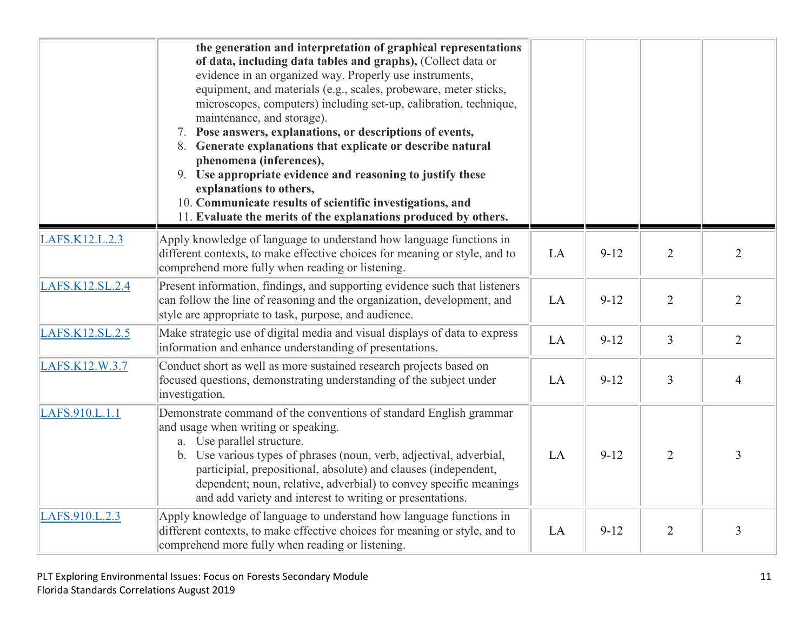|                 | the generation and interpretation of graphical representations<br>of data, including data tables and graphs), (Collect data or<br>evidence in an organized way. Properly use instruments,<br>equipment, and materials (e.g., scales, probeware, meter sticks,<br>microscopes, computers) including set-up, calibration, technique,<br>maintenance, and storage).<br>7. Pose answers, explanations, or descriptions of events,<br>8. Generate explanations that explicate or describe natural<br>phenomena (inferences),<br>9. Use appropriate evidence and reasoning to justify these<br>explanations to others,<br>10. Communicate results of scientific investigations, and<br>11. Evaluate the merits of the explanations produced by others. |    |          |                |                |
|-----------------|--------------------------------------------------------------------------------------------------------------------------------------------------------------------------------------------------------------------------------------------------------------------------------------------------------------------------------------------------------------------------------------------------------------------------------------------------------------------------------------------------------------------------------------------------------------------------------------------------------------------------------------------------------------------------------------------------------------------------------------------------|----|----------|----------------|----------------|
| LAFS.K12.L.2.3  | Apply knowledge of language to understand how language functions in<br>different contexts, to make effective choices for meaning or style, and to<br>comprehend more fully when reading or listening.                                                                                                                                                                                                                                                                                                                                                                                                                                                                                                                                            | LA | $9 - 12$ | $\overline{2}$ | $\overline{2}$ |
| LAFS.K12.SL.2.4 | Present information, findings, and supporting evidence such that listeners<br>can follow the line of reasoning and the organization, development, and<br>style are appropriate to task, purpose, and audience.                                                                                                                                                                                                                                                                                                                                                                                                                                                                                                                                   | LA | $9 - 12$ | $\overline{2}$ | $\overline{2}$ |
| LAFS.K12.SL.2.5 | Make strategic use of digital media and visual displays of data to express<br>information and enhance understanding of presentations.                                                                                                                                                                                                                                                                                                                                                                                                                                                                                                                                                                                                            | LA | $9 - 12$ | $\overline{3}$ | $\overline{2}$ |
| LAFS.K12.W.3.7  | Conduct short as well as more sustained research projects based on<br>focused questions, demonstrating understanding of the subject under<br>investigation.                                                                                                                                                                                                                                                                                                                                                                                                                                                                                                                                                                                      | LA | $9 - 12$ | $\overline{3}$ | $\overline{4}$ |
| LAFS.910.L.1.1  | Demonstrate command of the conventions of standard English grammar<br>and usage when writing or speaking.<br>a. Use parallel structure.<br>b. Use various types of phrases (noun, verb, adjectival, adverbial,<br>participial, prepositional, absolute) and clauses (independent,<br>dependent; noun, relative, adverbial) to convey specific meanings<br>and add variety and interest to writing or presentations.                                                                                                                                                                                                                                                                                                                              | LA | $9 - 12$ | $\overline{2}$ | $\overline{3}$ |
| LAFS.910.L.2.3  | Apply knowledge of language to understand how language functions in<br>different contexts, to make effective choices for meaning or style, and to<br>comprehend more fully when reading or listening.                                                                                                                                                                                                                                                                                                                                                                                                                                                                                                                                            | LA | $9 - 12$ | $\overline{2}$ | 3              |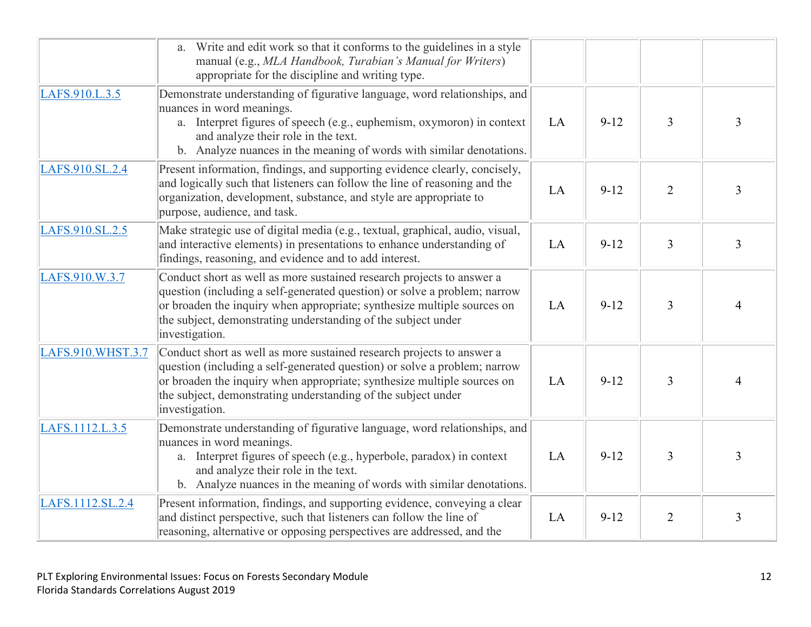|                   | a. Write and edit work so that it conforms to the guidelines in a style<br>manual (e.g., MLA Handbook, Turabian's Manual for Writers)<br>appropriate for the discipline and writing type.                                                                                                                        |    |          |                |                |
|-------------------|------------------------------------------------------------------------------------------------------------------------------------------------------------------------------------------------------------------------------------------------------------------------------------------------------------------|----|----------|----------------|----------------|
| LAFS.910.L.3.5    | Demonstrate understanding of figurative language, word relationships, and<br>nuances in word meanings.<br>a. Interpret figures of speech (e.g., euphemism, oxymoron) in context<br>and analyze their role in the text.<br>b. Analyze nuances in the meaning of words with similar denotations.                   | LA | $9 - 12$ | $\overline{3}$ | $\overline{3}$ |
| LAFS.910.SL.2.4   | Present information, findings, and supporting evidence clearly, concisely,<br>and logically such that listeners can follow the line of reasoning and the<br>organization, development, substance, and style are appropriate to<br>purpose, audience, and task.                                                   | LA | $9 - 12$ | $\overline{2}$ | $\overline{3}$ |
| LAFS.910.SL.2.5   | Make strategic use of digital media (e.g., textual, graphical, audio, visual,<br>and interactive elements) in presentations to enhance understanding of<br>findings, reasoning, and evidence and to add interest.                                                                                                | LA | $9 - 12$ | $\overline{3}$ | $\overline{3}$ |
| LAFS.910.W.3.7    | Conduct short as well as more sustained research projects to answer a<br>question (including a self-generated question) or solve a problem; narrow<br>or broaden the inquiry when appropriate; synthesize multiple sources on<br>the subject, demonstrating understanding of the subject under<br>investigation. | LA | $9 - 12$ | $\overline{3}$ | $\overline{4}$ |
| LAFS.910.WHST.3.7 | Conduct short as well as more sustained research projects to answer a<br>question (including a self-generated question) or solve a problem; narrow<br>or broaden the inquiry when appropriate; synthesize multiple sources on<br>the subject, demonstrating understanding of the subject under<br>investigation. | LA | $9 - 12$ | 3              | 4              |
| LAFS.1112.L.3.5   | Demonstrate understanding of figurative language, word relationships, and<br>nuances in word meanings.<br>a. Interpret figures of speech (e.g., hyperbole, paradox) in context<br>and analyze their role in the text.<br>b. Analyze nuances in the meaning of words with similar denotations.                    | LA | $9 - 12$ | 3              | $\overline{3}$ |
| LAFS.1112.SL.2.4  | Present information, findings, and supporting evidence, conveying a clear<br>and distinct perspective, such that listeners can follow the line of<br>reasoning, alternative or opposing perspectives are addressed, and the                                                                                      | LA | $9 - 12$ | $\overline{2}$ | 3              |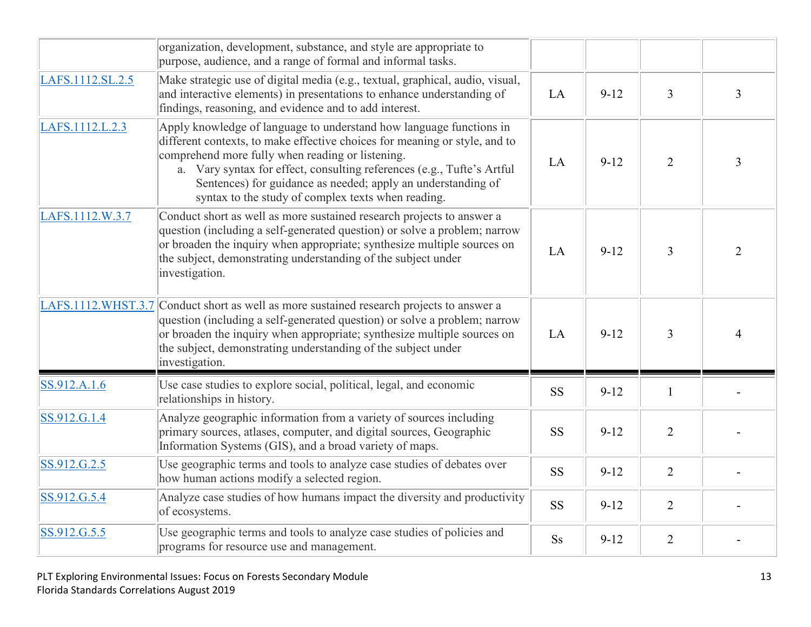|                  | organization, development, substance, and style are appropriate to<br>purpose, audience, and a range of formal and informal tasks.                                                                                                                                                                                                                                                                    |           |          |                |                |
|------------------|-------------------------------------------------------------------------------------------------------------------------------------------------------------------------------------------------------------------------------------------------------------------------------------------------------------------------------------------------------------------------------------------------------|-----------|----------|----------------|----------------|
| LAFS.1112.SL.2.5 | Make strategic use of digital media (e.g., textual, graphical, audio, visual,<br>and interactive elements) in presentations to enhance understanding of<br>findings, reasoning, and evidence and to add interest.                                                                                                                                                                                     | LA        | $9-12$   | $\overline{3}$ | $\overline{3}$ |
| LAFS.1112.L.2.3  | Apply knowledge of language to understand how language functions in<br>different contexts, to make effective choices for meaning or style, and to<br>comprehend more fully when reading or listening.<br>a. Vary syntax for effect, consulting references (e.g., Tufte's Artful<br>Sentences) for guidance as needed; apply an understanding of<br>syntax to the study of complex texts when reading. | LA        | $9 - 12$ | $\overline{2}$ | $\overline{3}$ |
| LAFS.1112.W.3.7  | Conduct short as well as more sustained research projects to answer a<br>question (including a self-generated question) or solve a problem; narrow<br>or broaden the inquiry when appropriate; synthesize multiple sources on<br>the subject, demonstrating understanding of the subject under<br>investigation.                                                                                      | LA        | $9 - 12$ | 3              | $\overline{2}$ |
|                  | LAFS.1112.WHST.3.7 Conduct short as well as more sustained research projects to answer a<br>question (including a self-generated question) or solve a problem; narrow<br>or broaden the inquiry when appropriate; synthesize multiple sources on<br>the subject, demonstrating understanding of the subject under<br>investigation.                                                                   | LA        | $9 - 12$ | 3              | $\overline{4}$ |
| SS.912.A.1.6     | Use case studies to explore social, political, legal, and economic<br>relationships in history.                                                                                                                                                                                                                                                                                                       | <b>SS</b> | $9 - 12$ | $\mathbf{1}$   |                |
| SS.912.G.1.4     | Analyze geographic information from a variety of sources including<br>primary sources, atlases, computer, and digital sources, Geographic<br>Information Systems (GIS), and a broad variety of maps.                                                                                                                                                                                                  | <b>SS</b> | $9 - 12$ | $\overline{2}$ |                |
| SS.912.G.2.5     | Use geographic terms and tools to analyze case studies of debates over<br>how human actions modify a selected region.                                                                                                                                                                                                                                                                                 | <b>SS</b> | $9-12$   | 2              |                |
| SS.912.G.5.4     | Analyze case studies of how humans impact the diversity and productivity<br>of ecosystems.                                                                                                                                                                                                                                                                                                            | <b>SS</b> | $9 - 12$ | $\overline{2}$ |                |
| SS.912.G.5.5     | Use geographic terms and tools to analyze case studies of policies and<br>programs for resource use and management.                                                                                                                                                                                                                                                                                   | <b>Ss</b> | $9 - 12$ | $\overline{2}$ |                |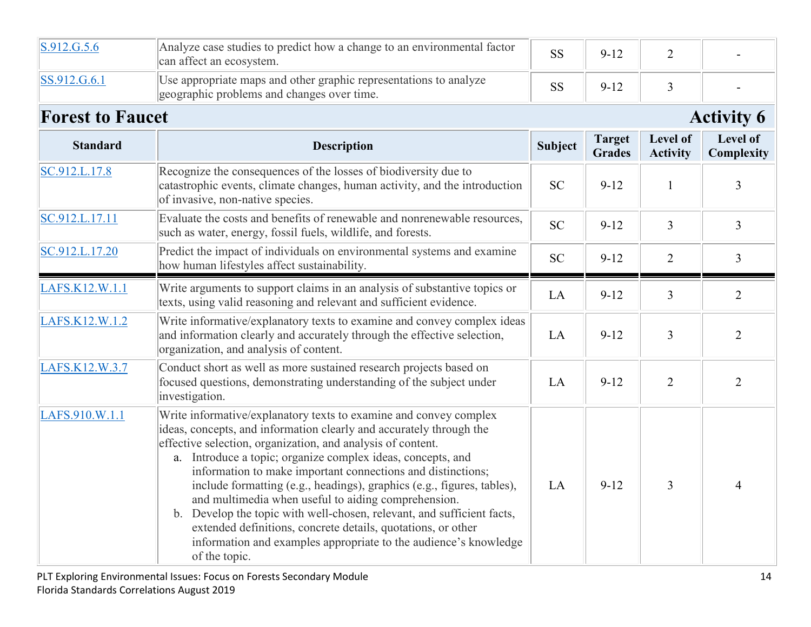| S.912.G.5.6             | Analyze case studies to predict how a change to an environmental factor<br>can affect an ecosystem.                                                                                                                                                                                                                                                                                                                                                                                                                                                                                                                                                                                                   | <b>SS</b>      | $9 - 12$                       | $\overline{2}$              |                        |
|-------------------------|-------------------------------------------------------------------------------------------------------------------------------------------------------------------------------------------------------------------------------------------------------------------------------------------------------------------------------------------------------------------------------------------------------------------------------------------------------------------------------------------------------------------------------------------------------------------------------------------------------------------------------------------------------------------------------------------------------|----------------|--------------------------------|-----------------------------|------------------------|
| SS.912.G.6.1            | Use appropriate maps and other graphic representations to analyze<br>geographic problems and changes over time.                                                                                                                                                                                                                                                                                                                                                                                                                                                                                                                                                                                       | <b>SS</b>      | $9 - 12$                       | $\overline{3}$              |                        |
| <b>Forest to Faucet</b> |                                                                                                                                                                                                                                                                                                                                                                                                                                                                                                                                                                                                                                                                                                       |                |                                |                             | <b>Activity 6</b>      |
| <b>Standard</b>         | <b>Description</b>                                                                                                                                                                                                                                                                                                                                                                                                                                                                                                                                                                                                                                                                                    | <b>Subject</b> | <b>Target</b><br><b>Grades</b> | Level of<br><b>Activity</b> | Level of<br>Complexity |
| SC.912.L.17.8           | Recognize the consequences of the losses of biodiversity due to<br>catastrophic events, climate changes, human activity, and the introduction<br>of invasive, non-native species.                                                                                                                                                                                                                                                                                                                                                                                                                                                                                                                     | <b>SC</b>      | $9 - 12$                       | $\mathbf{1}$                | $\overline{3}$         |
| SC.912.L.17.11          | Evaluate the costs and benefits of renewable and nonrenewable resources,<br>such as water, energy, fossil fuels, wildlife, and forests.                                                                                                                                                                                                                                                                                                                                                                                                                                                                                                                                                               | <b>SC</b>      | $9 - 12$                       | $\overline{3}$              | $\overline{3}$         |
| SC.912.L.17.20          | Predict the impact of individuals on environmental systems and examine<br>how human lifestyles affect sustainability.                                                                                                                                                                                                                                                                                                                                                                                                                                                                                                                                                                                 | <b>SC</b>      | $9 - 12$                       | $\overline{2}$              | $\mathfrak{Z}$         |
| LAFS.K12.W.1.1          | Write arguments to support claims in an analysis of substantive topics or<br>texts, using valid reasoning and relevant and sufficient evidence.                                                                                                                                                                                                                                                                                                                                                                                                                                                                                                                                                       | LA             | $9 - 12$                       | $\overline{3}$              | $\overline{2}$         |
| LAFS.K12.W.1.2          | Write informative/explanatory texts to examine and convey complex ideas<br>and information clearly and accurately through the effective selection,<br>organization, and analysis of content.                                                                                                                                                                                                                                                                                                                                                                                                                                                                                                          | LA             | $9 - 12$                       | 3                           | $\overline{2}$         |
| LAFS.K12.W.3.7          | Conduct short as well as more sustained research projects based on<br>focused questions, demonstrating understanding of the subject under<br>investigation.                                                                                                                                                                                                                                                                                                                                                                                                                                                                                                                                           | LA             | $9 - 12$                       | $\overline{2}$              | $\overline{2}$         |
| LAFS.910.W.1.1          | Write informative/explanatory texts to examine and convey complex<br>ideas, concepts, and information clearly and accurately through the<br>effective selection, organization, and analysis of content.<br>a. Introduce a topic; organize complex ideas, concepts, and<br>information to make important connections and distinctions;<br>include formatting (e.g., headings), graphics (e.g., figures, tables),<br>and multimedia when useful to aiding comprehension.<br>b. Develop the topic with well-chosen, relevant, and sufficient facts,<br>extended definitions, concrete details, quotations, or other<br>information and examples appropriate to the audience's knowledge<br>of the topic. | LA             | $9 - 12$                       | 3                           | 4                      |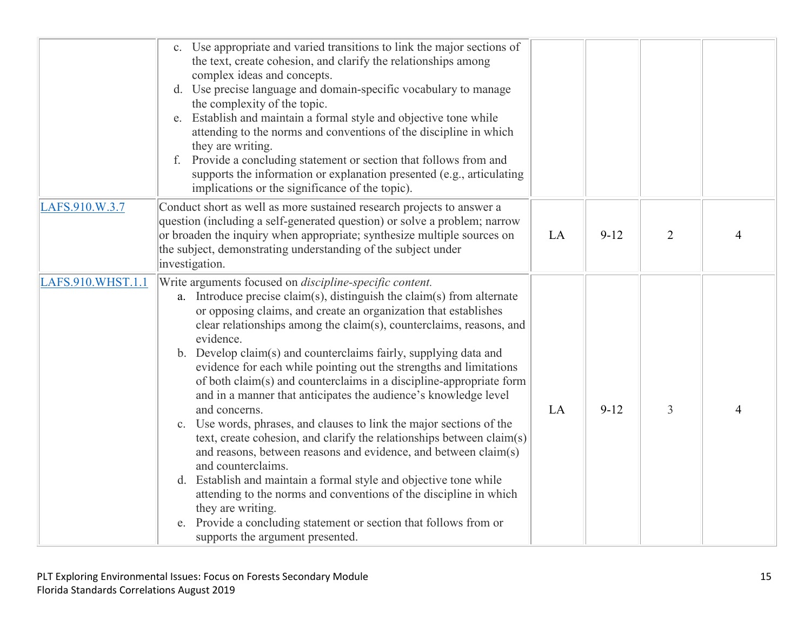|                   | c. Use appropriate and varied transitions to link the major sections of<br>the text, create cohesion, and clarify the relationships among<br>complex ideas and concepts.<br>d. Use precise language and domain-specific vocabulary to manage<br>the complexity of the topic.<br>e. Establish and maintain a formal style and objective tone while<br>attending to the norms and conventions of the discipline in which<br>they are writing.<br>Provide a concluding statement or section that follows from and<br>f.<br>supports the information or explanation presented (e.g., articulating<br>implications or the significance of the topic).                                                                                                                                                                                                                                                                                                                                                                                                                                                                           |    |          |                |   |
|-------------------|----------------------------------------------------------------------------------------------------------------------------------------------------------------------------------------------------------------------------------------------------------------------------------------------------------------------------------------------------------------------------------------------------------------------------------------------------------------------------------------------------------------------------------------------------------------------------------------------------------------------------------------------------------------------------------------------------------------------------------------------------------------------------------------------------------------------------------------------------------------------------------------------------------------------------------------------------------------------------------------------------------------------------------------------------------------------------------------------------------------------------|----|----------|----------------|---|
| LAFS.910.W.3.7    | Conduct short as well as more sustained research projects to answer a<br>question (including a self-generated question) or solve a problem; narrow<br>or broaden the inquiry when appropriate; synthesize multiple sources on<br>the subject, demonstrating understanding of the subject under<br>investigation.                                                                                                                                                                                                                                                                                                                                                                                                                                                                                                                                                                                                                                                                                                                                                                                                           | LA | $9 - 12$ | $\overline{2}$ |   |
| LAFS.910.WHST.1.1 | Write arguments focused on <i>discipline-specific content</i> .<br>a. Introduce precise claim(s), distinguish the claim(s) from alternate<br>or opposing claims, and create an organization that establishes<br>clear relationships among the claim(s), counterclaims, reasons, and<br>evidence.<br>b. Develop claim(s) and counterclaims fairly, supplying data and<br>evidence for each while pointing out the strengths and limitations<br>of both claim(s) and counterclaims in a discipline-appropriate form<br>and in a manner that anticipates the audience's knowledge level<br>and concerns.<br>c. Use words, phrases, and clauses to link the major sections of the<br>text, create cohesion, and clarify the relationships between claim(s)<br>and reasons, between reasons and evidence, and between claim(s)<br>and counterclaims.<br>d. Establish and maintain a formal style and objective tone while<br>attending to the norms and conventions of the discipline in which<br>they are writing.<br>Provide a concluding statement or section that follows from or<br>e.<br>supports the argument presented. | LA | $9 - 12$ | 3              | 4 |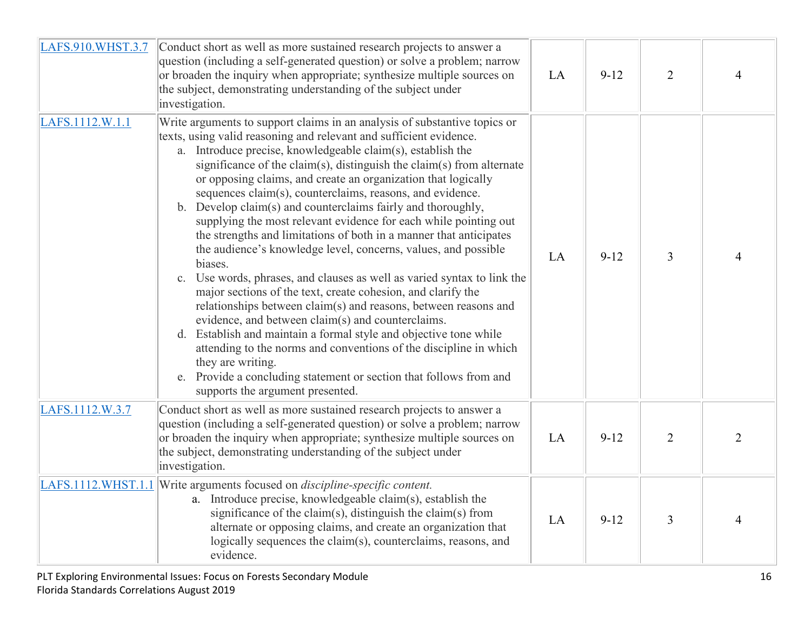| LAFS.910.WHST.3.7 | Conduct short as well as more sustained research projects to answer a<br>question (including a self-generated question) or solve a problem; narrow<br>or broaden the inquiry when appropriate; synthesize multiple sources on<br>the subject, demonstrating understanding of the subject under<br>investigation.                                                                                                                                                                                                                                                                                                                                                                                                                                                                                                                                                                                                                                                                                                                                                                                                                                                                                                                                         | LA | $9-12$   | $\overline{2}$ | 4              |
|-------------------|----------------------------------------------------------------------------------------------------------------------------------------------------------------------------------------------------------------------------------------------------------------------------------------------------------------------------------------------------------------------------------------------------------------------------------------------------------------------------------------------------------------------------------------------------------------------------------------------------------------------------------------------------------------------------------------------------------------------------------------------------------------------------------------------------------------------------------------------------------------------------------------------------------------------------------------------------------------------------------------------------------------------------------------------------------------------------------------------------------------------------------------------------------------------------------------------------------------------------------------------------------|----|----------|----------------|----------------|
| LAFS.1112.W.1.1   | Write arguments to support claims in an analysis of substantive topics or<br>texts, using valid reasoning and relevant and sufficient evidence.<br>a. Introduce precise, knowledgeable claim(s), establish the<br>significance of the claim(s), distinguish the claim(s) from alternate<br>or opposing claims, and create an organization that logically<br>sequences claim(s), counterclaims, reasons, and evidence.<br>b. Develop claim(s) and counterclaims fairly and thoroughly,<br>supplying the most relevant evidence for each while pointing out<br>the strengths and limitations of both in a manner that anticipates<br>the audience's knowledge level, concerns, values, and possible<br>biases.<br>c. Use words, phrases, and clauses as well as varied syntax to link the<br>major sections of the text, create cohesion, and clarify the<br>relationships between claim(s) and reasons, between reasons and<br>evidence, and between claim(s) and counterclaims.<br>d. Establish and maintain a formal style and objective tone while<br>attending to the norms and conventions of the discipline in which<br>they are writing.<br>e. Provide a concluding statement or section that follows from and<br>supports the argument presented. | LA | $9 - 12$ | 3              | 4              |
| LAFS.1112.W.3.7   | Conduct short as well as more sustained research projects to answer a<br>question (including a self-generated question) or solve a problem; narrow<br>or broaden the inquiry when appropriate; synthesize multiple sources on<br>the subject, demonstrating understanding of the subject under<br>investigation.                                                                                                                                                                                                                                                                                                                                                                                                                                                                                                                                                                                                                                                                                                                                                                                                                                                                                                                                         | LA | $9 - 12$ | $\overline{2}$ | $\overline{2}$ |
|                   | LAFS.1112.WHST.1.1 Write arguments focused on <i>discipline-specific content</i> .<br>a. Introduce precise, knowledgeable claim(s), establish the<br>significance of the claim(s), distinguish the claim(s) from<br>alternate or opposing claims, and create an organization that<br>logically sequences the claim(s), counterclaims, reasons, and<br>evidence.                                                                                                                                                                                                                                                                                                                                                                                                                                                                                                                                                                                                                                                                                                                                                                                                                                                                                          | LA | $9 - 12$ | $\mathfrak{Z}$ | 4              |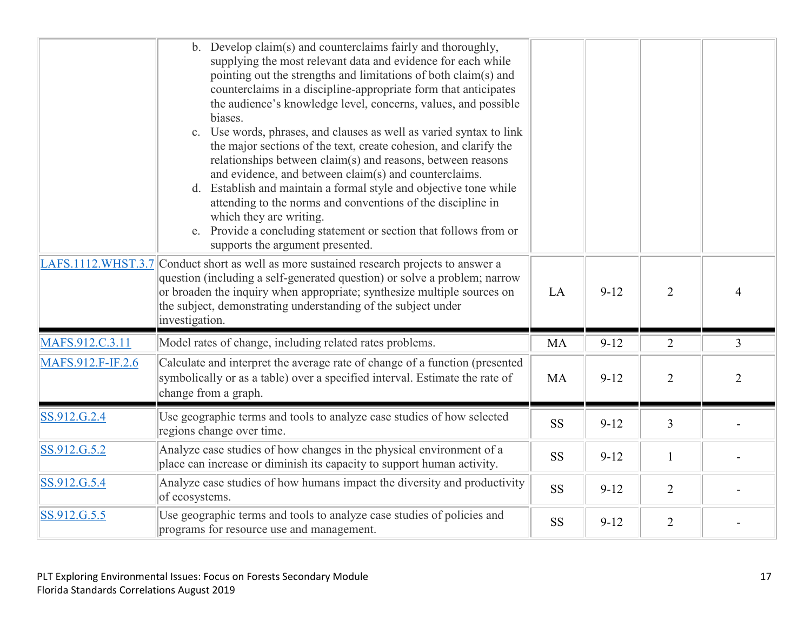|                   | b. Develop claim(s) and counterclaims fairly and thoroughly,<br>supplying the most relevant data and evidence for each while<br>pointing out the strengths and limitations of both claim(s) and<br>counterclaims in a discipline-appropriate form that anticipates<br>the audience's knowledge level, concerns, values, and possible<br>biases.<br>c. Use words, phrases, and clauses as well as varied syntax to link<br>the major sections of the text, create cohesion, and clarify the<br>relationships between claim(s) and reasons, between reasons<br>and evidence, and between claim(s) and counterclaims.<br>d. Establish and maintain a formal style and objective tone while<br>attending to the norms and conventions of the discipline in<br>which they are writing.<br>e. Provide a concluding statement or section that follows from or<br>supports the argument presented. |           |          |                |                |
|-------------------|--------------------------------------------------------------------------------------------------------------------------------------------------------------------------------------------------------------------------------------------------------------------------------------------------------------------------------------------------------------------------------------------------------------------------------------------------------------------------------------------------------------------------------------------------------------------------------------------------------------------------------------------------------------------------------------------------------------------------------------------------------------------------------------------------------------------------------------------------------------------------------------------|-----------|----------|----------------|----------------|
|                   | LAFS.1112.WHST.3.7 Conduct short as well as more sustained research projects to answer a<br>question (including a self-generated question) or solve a problem; narrow<br>or broaden the inquiry when appropriate; synthesize multiple sources on<br>the subject, demonstrating understanding of the subject under<br>investigation.                                                                                                                                                                                                                                                                                                                                                                                                                                                                                                                                                        | LA        | $9 - 12$ | 2              | 4              |
| MAFS.912.C.3.11   | Model rates of change, including related rates problems.                                                                                                                                                                                                                                                                                                                                                                                                                                                                                                                                                                                                                                                                                                                                                                                                                                   | <b>MA</b> | $9 - 12$ | $\overline{2}$ | $\overline{3}$ |
| MAFS.912.F-IF.2.6 | Calculate and interpret the average rate of change of a function (presented<br>symbolically or as a table) over a specified interval. Estimate the rate of<br>change from a graph.                                                                                                                                                                                                                                                                                                                                                                                                                                                                                                                                                                                                                                                                                                         | <b>MA</b> | $9 - 12$ | $\overline{2}$ | $\overline{2}$ |
| SS.912.G.2.4      | Use geographic terms and tools to analyze case studies of how selected<br>regions change over time.                                                                                                                                                                                                                                                                                                                                                                                                                                                                                                                                                                                                                                                                                                                                                                                        | <b>SS</b> | $9 - 12$ | $\overline{3}$ |                |
| SS.912.G.5.2      | Analyze case studies of how changes in the physical environment of a<br>place can increase or diminish its capacity to support human activity.                                                                                                                                                                                                                                                                                                                                                                                                                                                                                                                                                                                                                                                                                                                                             | <b>SS</b> | $9 - 12$ | $\mathbf{1}$   |                |
| SS.912.G.5.4      | Analyze case studies of how humans impact the diversity and productivity<br>of ecosystems.                                                                                                                                                                                                                                                                                                                                                                                                                                                                                                                                                                                                                                                                                                                                                                                                 | <b>SS</b> | $9 - 12$ | $\overline{2}$ |                |
| SS.912.G.5.5      | Use geographic terms and tools to analyze case studies of policies and<br>programs for resource use and management.                                                                                                                                                                                                                                                                                                                                                                                                                                                                                                                                                                                                                                                                                                                                                                        | <b>SS</b> | $9 - 12$ | $\overline{2}$ |                |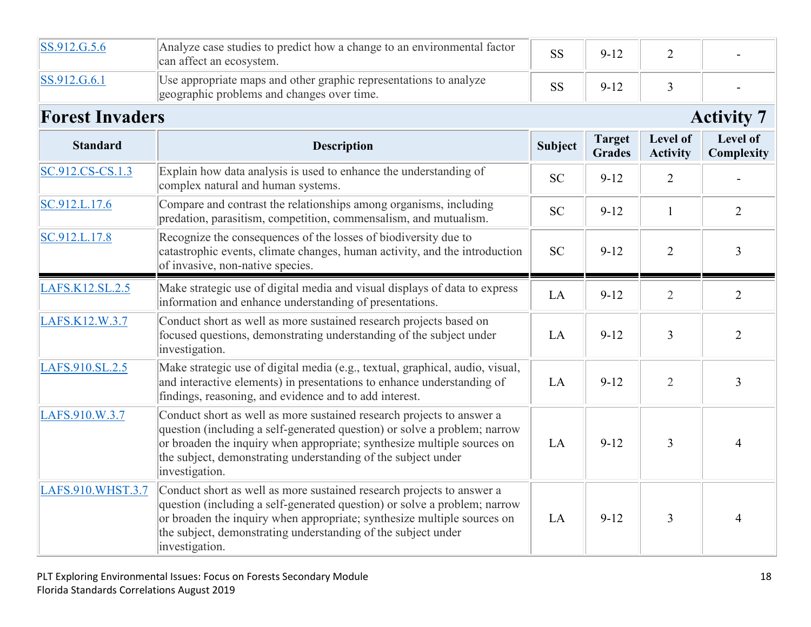| SS.912.G.5.6           | Analyze case studies to predict how a change to an environmental factor<br>can affect an ecosystem.                                                                                                                                                                                                              | <b>SS</b>      | $9 - 12$                       | $\overline{2}$              |                        |
|------------------------|------------------------------------------------------------------------------------------------------------------------------------------------------------------------------------------------------------------------------------------------------------------------------------------------------------------|----------------|--------------------------------|-----------------------------|------------------------|
| SS.912.G.6.1           | Use appropriate maps and other graphic representations to analyze<br>geographic problems and changes over time.                                                                                                                                                                                                  | <b>SS</b>      | $9 - 12$                       | $\overline{3}$              |                        |
| <b>Forest Invaders</b> |                                                                                                                                                                                                                                                                                                                  |                |                                |                             | <b>Activity 7</b>      |
| <b>Standard</b>        | <b>Description</b>                                                                                                                                                                                                                                                                                               | <b>Subject</b> | <b>Target</b><br><b>Grades</b> | Level of<br><b>Activity</b> | Level of<br>Complexity |
| SC.912.CS-CS.1.3       | Explain how data analysis is used to enhance the understanding of<br>complex natural and human systems.                                                                                                                                                                                                          | <b>SC</b>      | $9 - 12$                       | $\overline{2}$              |                        |
| SC.912.L.17.6          | Compare and contrast the relationships among organisms, including<br>predation, parasitism, competition, commensalism, and mutualism.                                                                                                                                                                            | <b>SC</b>      | $9 - 12$                       | $\mathbf{1}$                | $\overline{2}$         |
| SC.912.L.17.8          | Recognize the consequences of the losses of biodiversity due to<br>catastrophic events, climate changes, human activity, and the introduction<br>of invasive, non-native species.                                                                                                                                | <b>SC</b>      | $9 - 12$                       | $\overline{2}$              | $\overline{3}$         |
| LAFS.K12.SL.2.5        | Make strategic use of digital media and visual displays of data to express<br>information and enhance understanding of presentations.                                                                                                                                                                            | LA             | $9 - 12$                       | $\overline{2}$              | $\overline{2}$         |
| LAFS.K12.W.3.7         | Conduct short as well as more sustained research projects based on<br>focused questions, demonstrating understanding of the subject under<br>investigation.                                                                                                                                                      | LA             | $9 - 12$                       | $\overline{3}$              | $\overline{2}$         |
| LAFS.910.SL.2.5        | Make strategic use of digital media (e.g., textual, graphical, audio, visual,<br>and interactive elements) in presentations to enhance understanding of<br>findings, reasoning, and evidence and to add interest.                                                                                                | LA             | $9 - 12$                       | $\overline{2}$              | $\overline{3}$         |
| LAFS.910.W.3.7         | Conduct short as well as more sustained research projects to answer a<br>question (including a self-generated question) or solve a problem; narrow<br>or broaden the inquiry when appropriate; synthesize multiple sources on<br>the subject, demonstrating understanding of the subject under<br>investigation. | LA             | $9 - 12$                       | $\overline{3}$              | 4                      |
| LAFS.910.WHST.3.7      | Conduct short as well as more sustained research projects to answer a<br>question (including a self-generated question) or solve a problem; narrow<br>or broaden the inquiry when appropriate; synthesize multiple sources on<br>the subject, demonstrating understanding of the subject under<br>investigation. | LA             | $9 - 12$                       | 3                           | $\overline{4}$         |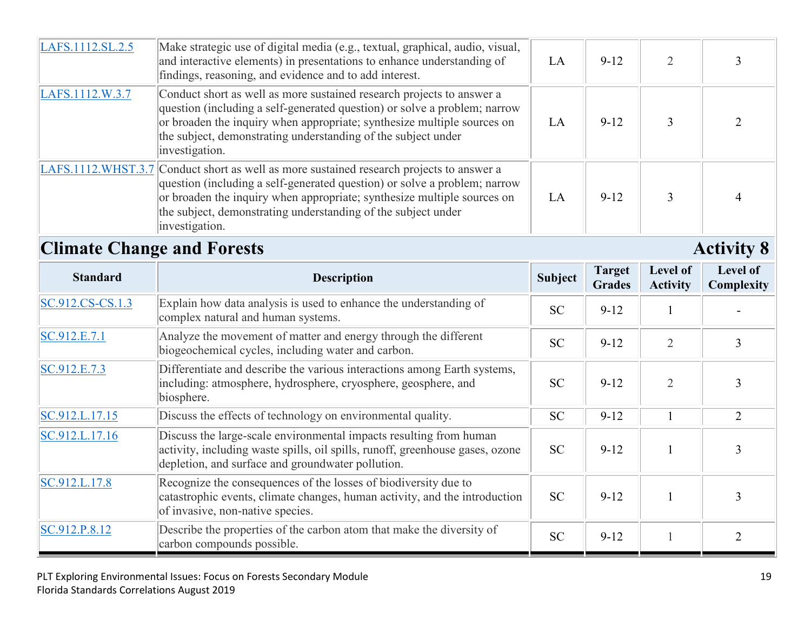| LAFS.1112.W.3.7                                     | Conduct short as well as more sustained research projects to answer a<br>question (including a self-generated question) or solve a problem; narrow<br>or broaden the inquiry when appropriate; synthesize multiple sources on<br>the subject, demonstrating understanding of the subject under                                      | LA | $9 - 12$ |  |  |
|-----------------------------------------------------|-------------------------------------------------------------------------------------------------------------------------------------------------------------------------------------------------------------------------------------------------------------------------------------------------------------------------------------|----|----------|--|--|
|                                                     | investigation.<br>LAFS.1112.WHST.3.7 Conduct short as well as more sustained research projects to answer a<br>question (including a self-generated question) or solve a problem; narrow<br>or broaden the inquiry when appropriate; synthesize multiple sources on<br>the subject, demonstrating understanding of the subject under | LA | $9 - 12$ |  |  |
| investigation.<br><b>Climate Change and Forests</b> |                                                                                                                                                                                                                                                                                                                                     |    |          |  |  |

| <b>Standard</b>    | <b>Description</b>                                                                                                                                                                                       | <b>Subject</b> | <b>Target</b><br><b>Grades</b> | Level of<br><b>Activity</b> | <b>Level of</b><br>Complexity |
|--------------------|----------------------------------------------------------------------------------------------------------------------------------------------------------------------------------------------------------|----------------|--------------------------------|-----------------------------|-------------------------------|
| $SC.912.CS-CS.1.3$ | Explain how data analysis is used to enhance the understanding of<br>complex natural and human systems.                                                                                                  | <b>SC</b>      | $9 - 12$                       |                             |                               |
| SC.912.E.7.1       | Analyze the movement of matter and energy through the different<br>biogeochemical cycles, including water and carbon.                                                                                    | <b>SC</b>      | $9-12$                         | $\overline{2}$              |                               |
| SC.912.E.7.3       | Differentiate and describe the various interactions among Earth systems,<br>including: atmosphere, hydrosphere, cryosphere, geosphere, and<br>biosphere.                                                 | <b>SC</b>      | $9 - 12$                       | $\overline{2}$              |                               |
| SC.912.L.17.15     | Discuss the effects of technology on environmental quality.                                                                                                                                              | <b>SC</b>      | $9 - 12$                       |                             |                               |
| SC.912.L.17.16     | Discuss the large-scale environmental impacts resulting from human<br>activity, including waste spills, oil spills, runoff, greenhouse gases, ozone<br>depletion, and surface and groundwater pollution. | <b>SC</b>      | $9 - 12$                       |                             | 3                             |
| SC.912.L.17.8      | Recognize the consequences of the losses of biodiversity due to<br>catastrophic events, climate changes, human activity, and the introduction<br>of invasive, non-native species.                        | <b>SC</b>      | $9 - 12$                       |                             |                               |
| SC.912.P.8.12      | Describe the properties of the carbon atom that make the diversity of<br>carbon compounds possible.                                                                                                      | <b>SC</b>      | $9-12$                         |                             |                               |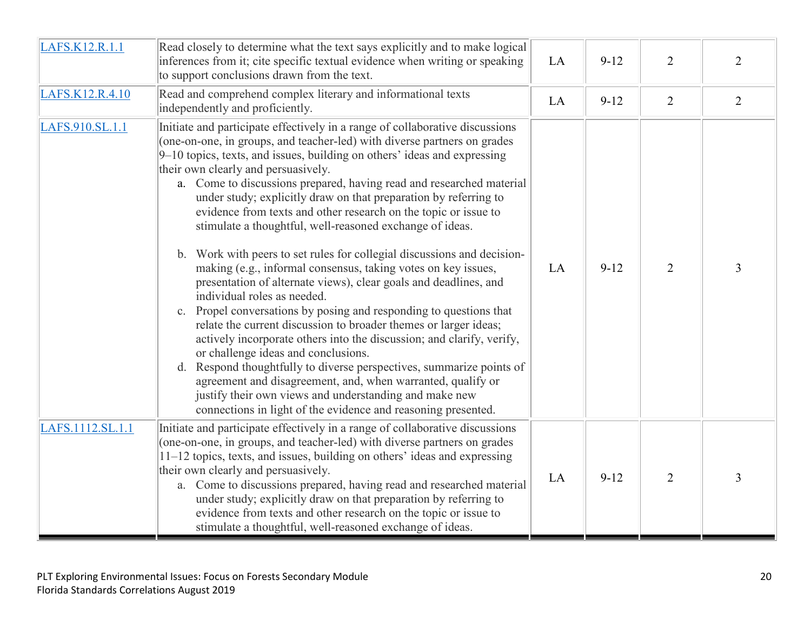| LAFS.K12.R.1.1   | Read closely to determine what the text says explicitly and to make logical<br>inferences from it; cite specific textual evidence when writing or speaking<br>to support conclusions drawn from the text.                                                                                                                                                                                                                                                                                                                                                                                                                                                                                                                                                                                                                                                                                                                                                                                                                                                                                                                                                                                                                                                                                                                              | LA | $9-12$   | $\overline{2}$ | 2              |
|------------------|----------------------------------------------------------------------------------------------------------------------------------------------------------------------------------------------------------------------------------------------------------------------------------------------------------------------------------------------------------------------------------------------------------------------------------------------------------------------------------------------------------------------------------------------------------------------------------------------------------------------------------------------------------------------------------------------------------------------------------------------------------------------------------------------------------------------------------------------------------------------------------------------------------------------------------------------------------------------------------------------------------------------------------------------------------------------------------------------------------------------------------------------------------------------------------------------------------------------------------------------------------------------------------------------------------------------------------------|----|----------|----------------|----------------|
| LAFS.K12.R.4.10  | Read and comprehend complex literary and informational texts<br>independently and proficiently.                                                                                                                                                                                                                                                                                                                                                                                                                                                                                                                                                                                                                                                                                                                                                                                                                                                                                                                                                                                                                                                                                                                                                                                                                                        | LA | $9-12$   | $\overline{2}$ | $\overline{2}$ |
| LAFS.910.SL.1.1  | Initiate and participate effectively in a range of collaborative discussions<br>(one-on-one, in groups, and teacher-led) with diverse partners on grades<br>$9-10$ topics, texts, and issues, building on others' ideas and expressing<br>their own clearly and persuasively.<br>a. Come to discussions prepared, having read and researched material<br>under study; explicitly draw on that preparation by referring to<br>evidence from texts and other research on the topic or issue to<br>stimulate a thoughtful, well-reasoned exchange of ideas.<br>b. Work with peers to set rules for collegial discussions and decision-<br>making (e.g., informal consensus, taking votes on key issues,<br>presentation of alternate views), clear goals and deadlines, and<br>individual roles as needed.<br>Propel conversations by posing and responding to questions that<br>c.<br>relate the current discussion to broader themes or larger ideas;<br>actively incorporate others into the discussion; and clarify, verify,<br>or challenge ideas and conclusions.<br>d. Respond thoughtfully to diverse perspectives, summarize points of<br>agreement and disagreement, and, when warranted, qualify or<br>justify their own views and understanding and make new<br>connections in light of the evidence and reasoning presented. | LA | $9 - 12$ | $\overline{2}$ | $\overline{3}$ |
| LAFS.1112.SL.1.1 | Initiate and participate effectively in a range of collaborative discussions<br>(one-on-one, in groups, and teacher-led) with diverse partners on grades<br>11–12 topics, texts, and issues, building on others' ideas and expressing<br>their own clearly and persuasively.<br>a. Come to discussions prepared, having read and researched material<br>under study; explicitly draw on that preparation by referring to<br>evidence from texts and other research on the topic or issue to<br>stimulate a thoughtful, well-reasoned exchange of ideas.                                                                                                                                                                                                                                                                                                                                                                                                                                                                                                                                                                                                                                                                                                                                                                                | LA | $9 - 12$ | $\overline{2}$ | $\mathfrak{Z}$ |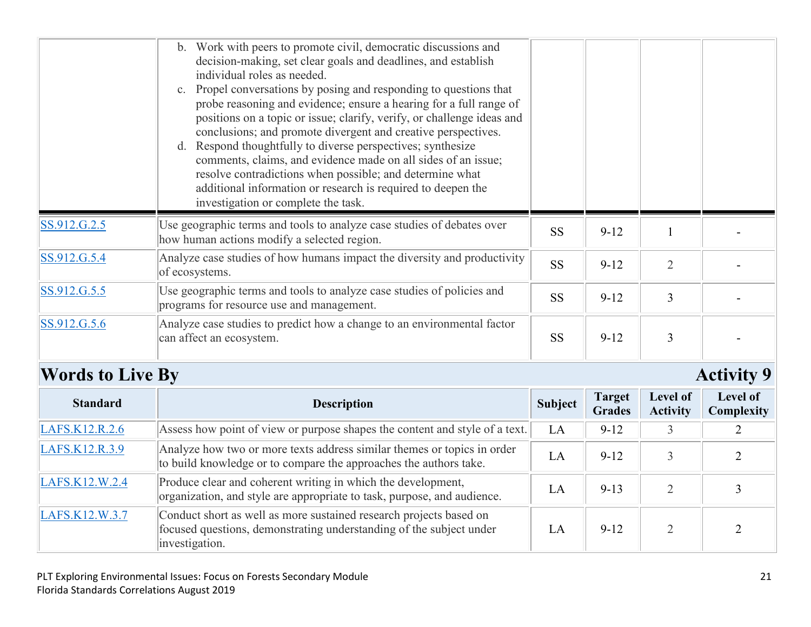|              | b. Work with peers to promote civil, democratic discussions and<br>decision-making, set clear goals and deadlines, and establish<br>individual roles as needed.<br>c. Propel conversations by posing and responding to questions that<br>probe reasoning and evidence; ensure a hearing for a full range of<br>positions on a topic or issue; clarify, verify, or challenge ideas and<br>conclusions; and promote divergent and creative perspectives.<br>d. Respond thoughtfully to diverse perspectives; synthesize<br>comments, claims, and evidence made on all sides of an issue;<br>resolve contradictions when possible; and determine what<br>additional information or research is required to deepen the<br>investigation or complete the task. |           |          |                |  |
|--------------|-----------------------------------------------------------------------------------------------------------------------------------------------------------------------------------------------------------------------------------------------------------------------------------------------------------------------------------------------------------------------------------------------------------------------------------------------------------------------------------------------------------------------------------------------------------------------------------------------------------------------------------------------------------------------------------------------------------------------------------------------------------|-----------|----------|----------------|--|
| SS.912.G.2.5 | Use geographic terms and tools to analyze case studies of debates over<br>how human actions modify a selected region.                                                                                                                                                                                                                                                                                                                                                                                                                                                                                                                                                                                                                                     | <b>SS</b> | $9 - 12$ |                |  |
| SS.912.G.5.4 | Analyze case studies of how humans impact the diversity and productivity<br>of ecosystems.                                                                                                                                                                                                                                                                                                                                                                                                                                                                                                                                                                                                                                                                | <b>SS</b> | $9 - 12$ | $\overline{2}$ |  |
| SS.912.G.5.5 | Use geographic terms and tools to analyze case studies of policies and<br>programs for resource use and management.                                                                                                                                                                                                                                                                                                                                                                                                                                                                                                                                                                                                                                       | <b>SS</b> | $9 - 12$ | 3              |  |
| SS.912.G.5.6 | Analyze case studies to predict how a change to an environmental factor<br>can affect an ecosystem.                                                                                                                                                                                                                                                                                                                                                                                                                                                                                                                                                                                                                                                       | <b>SS</b> | $9-12$   | 3              |  |

# **Words to Live By Activity 9**

| <b>Standard</b> | <b>Description</b>                                                                                                                                          | <b>Subject</b> | <b>Target</b><br><b>Grades</b> | Level of<br><b>Activity</b> | Level of<br>Complexity |
|-----------------|-------------------------------------------------------------------------------------------------------------------------------------------------------------|----------------|--------------------------------|-----------------------------|------------------------|
| LAFS.K12.R.2.6  | Assess how point of view or purpose shapes the content and style of a text.                                                                                 | LA             | $9 - 12$                       |                             |                        |
| LAFS.K12.R.3.9  | Analyze how two or more texts address similar themes or topics in order<br>to build knowledge or to compare the approaches the authors take.                | LA             | $9 - 12$                       |                             |                        |
| LAFS.K12.W.2.4  | Produce clear and coherent writing in which the development,<br>organization, and style are appropriate to task, purpose, and audience.                     | LA             | $9 - 13$                       |                             |                        |
| LAFS.K12.W.3.7  | Conduct short as well as more sustained research projects based on<br>focused questions, demonstrating understanding of the subject under<br>investigation. | LA             | $9 - 12$                       |                             |                        |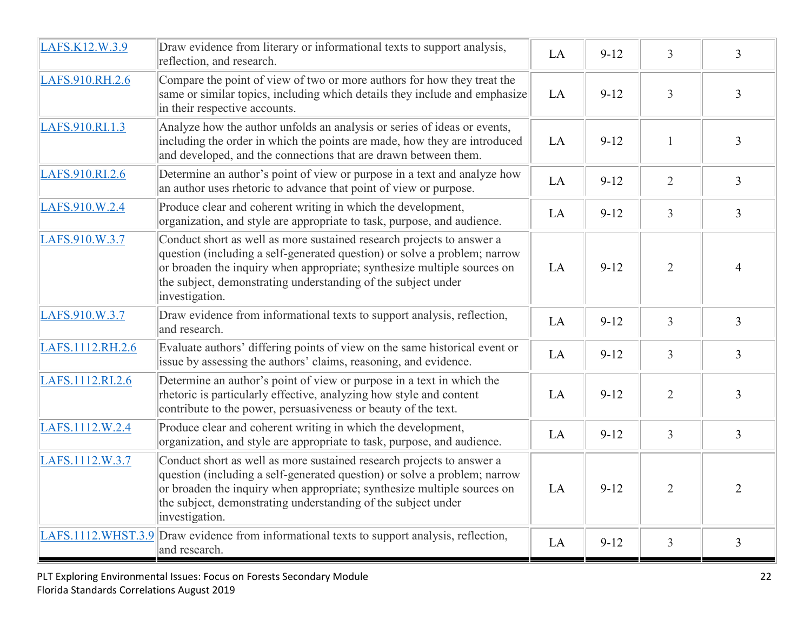| LAFS.K12.W.3.9   | Draw evidence from literary or informational texts to support analysis,<br>reflection, and research.                                                                                                                                                                                                             | LA | $9 - 12$ | $\overline{3}$ | 3              |
|------------------|------------------------------------------------------------------------------------------------------------------------------------------------------------------------------------------------------------------------------------------------------------------------------------------------------------------|----|----------|----------------|----------------|
| LAFS.910.RH.2.6  | Compare the point of view of two or more authors for how they treat the<br>same or similar topics, including which details they include and emphasize<br>in their respective accounts.                                                                                                                           | LA | $9-12$   | $\overline{3}$ | $\overline{3}$ |
| LAFS.910.RI.1.3  | Analyze how the author unfolds an analysis or series of ideas or events,<br>including the order in which the points are made, how they are introduced<br>and developed, and the connections that are drawn between them.                                                                                         | LA | $9-12$   | $\mathbf{1}$   | $\overline{3}$ |
| LAFS.910.RI.2.6  | Determine an author's point of view or purpose in a text and analyze how<br>an author uses rhetoric to advance that point of view or purpose.                                                                                                                                                                    | LA | $9 - 12$ | $\overline{2}$ | $\overline{3}$ |
| LAFS.910.W.2.4   | Produce clear and coherent writing in which the development,<br>organization, and style are appropriate to task, purpose, and audience.                                                                                                                                                                          | LA | $9 - 12$ | $\overline{3}$ | $\overline{3}$ |
| LAFS.910.W.3.7   | Conduct short as well as more sustained research projects to answer a<br>question (including a self-generated question) or solve a problem; narrow<br>or broaden the inquiry when appropriate; synthesize multiple sources on<br>the subject, demonstrating understanding of the subject under<br>investigation. | LA | $9-12$   | $\overline{2}$ | $\overline{4}$ |
| LAFS.910.W.3.7   | Draw evidence from informational texts to support analysis, reflection,<br>and research.                                                                                                                                                                                                                         | LA | $9 - 12$ | $\overline{3}$ | $\overline{3}$ |
| LAFS.1112.RH.2.6 | Evaluate authors' differing points of view on the same historical event or<br>issue by assessing the authors' claims, reasoning, and evidence.                                                                                                                                                                   | LA | $9 - 12$ | $\overline{3}$ | $\overline{3}$ |
| LAFS.1112.RI.2.6 | Determine an author's point of view or purpose in a text in which the<br>rhetoric is particularly effective, analyzing how style and content<br>contribute to the power, persuasiveness or beauty of the text.                                                                                                   | LA | $9 - 12$ | $\overline{2}$ | $\overline{3}$ |
| LAFS.1112.W.2.4  | Produce clear and coherent writing in which the development,<br>organization, and style are appropriate to task, purpose, and audience.                                                                                                                                                                          | LA | $9 - 12$ | $\overline{3}$ | $\overline{3}$ |
| LAFS.1112.W.3.7  | Conduct short as well as more sustained research projects to answer a<br>question (including a self-generated question) or solve a problem; narrow<br>or broaden the inquiry when appropriate; synthesize multiple sources on<br>the subject, demonstrating understanding of the subject under<br>investigation. | LA | $9 - 12$ | $\overline{2}$ | $\overline{2}$ |
|                  | LAFS.1112.WHST.3.9 Draw evidence from informational texts to support analysis, reflection,<br>and research.                                                                                                                                                                                                      | LA | $9 - 12$ | $\overline{3}$ | $\overline{3}$ |